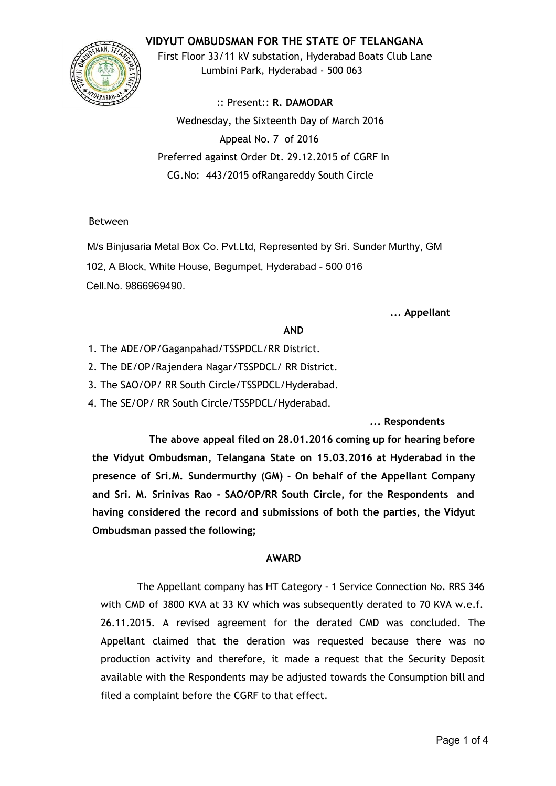# **VIDYUT OMBUDSMAN FOR THE STATE OF TELANGANA**



First Floor 33/11 kV substation, Hyderabad Boats Club Lane Lumbini Park, Hyderabad ‐ 500 063

:: Present:: **R. DAMODAR** Wednesday, the Sixteenth Day of March 2016 Appeal No. 7 of 2016 Preferred against Order Dt. 29.12.2015 of CGRF In CG.No: 443/2015 ofRangareddy South Circle

#### Between

M/s Binjusaria Metal Box Co. Pvt.Ltd, Represented by Sri. Sunder Murthy, GM 102, A Block, White House, Begumpet, Hyderabad - 500 016 Cell.No. 9866969490.

#### **... Appellant**

### **AND**

- 1. The ADE/OP/Gaganpahad/TSSPDCL/RR District.
- 2. The DE/OP/Rajendera Nagar/TSSPDCL/ RR District.
- 3. The SAO/OP/ RR South Circle/TSSPDCL/Hyderabad.
- 4. The SE/OP/ RR South Circle/TSSPDCL/Hyderabad.

**... Respondents**

**The above appeal filed on 28.01.2016 coming up for hearing before the Vidyut Ombudsman, Telangana State on 15.03.2016 at Hyderabad in the presence of Sri.M. Sundermurthy (GM) ‐ On behalf of the Appellant Company and Sri. M. Srinivas Rao ‐ SAO/OP/RR South Circle, for the Respondents and having considered the record and submissions of both the parties, the Vidyut Ombudsman passed the following;**

### **AWARD**

The Appellant company has HT Category ‐ 1 Service Connection No. RRS 346 with CMD of 3800 KVA at 33 KV which was subsequently derated to 70 KVA w.e.f. 26.11.2015. A revised agreement for the derated CMD was concluded. The Appellant claimed that the deration was requested because there was no production activity and therefore, it made a request that the Security Deposit available with the Respondents may be adjusted towards the Consumption bill and filed a complaint before the CGRF to that effect.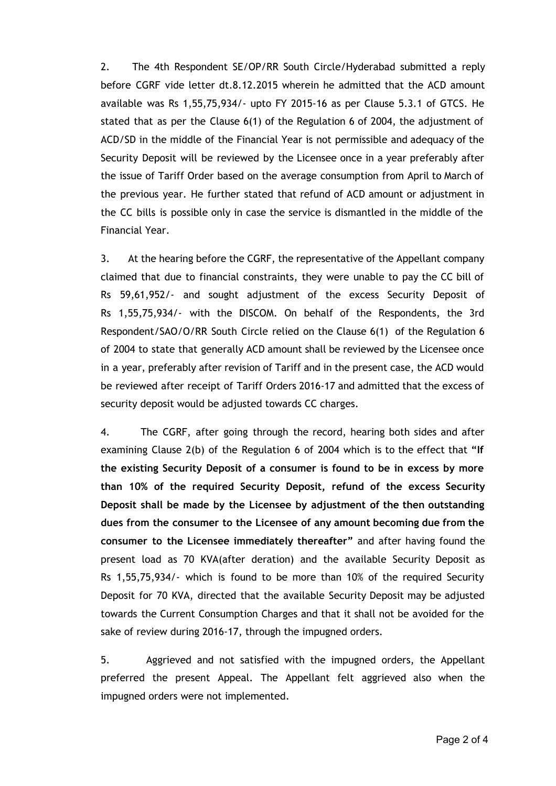2. The 4th Respondent SE/OP/RR South Circle/Hyderabad submitted a reply before CGRF vide letter dt.8.12.2015 wherein he admitted that the ACD amount available was Rs 1,55,75,934/‐ upto FY 2015‐16 as per Clause 5.3.1 of GTCS. He stated that as per the Clause 6(1) of the Regulation 6 of 2004, the adjustment of ACD/SD in the middle of the Financial Year is not permissible and adequacy of the Security Deposit will be reviewed by the Licensee once in a year preferably after the issue of Tariff Order based on the average consumption from April to March of the previous year. He further stated that refund of ACD amount or adjustment in the CC bills is possible only in case the service is dismantled in the middle of the Financial Year.

3. At the hearing before the CGRF, the representative of the Appellant company claimed that due to financial constraints, they were unable to pay the CC bill of Rs 59,61,952/‐ and sought adjustment of the excess Security Deposit of Rs 1,55,75,934/‐ with the DISCOM. On behalf of the Respondents, the 3rd Respondent/SAO/O/RR South Circle relied on the Clause 6(1) of the Regulation 6 of 2004 to state that generally ACD amount shall be reviewed by the Licensee once in a year, preferably after revision of Tariff and in the present case, the ACD would be reviewed after receipt of Tariff Orders 2016‐17 and admitted that the excess of security deposit would be adjusted towards CC charges.

4. The CGRF, after going through the record, hearing both sides and after examining Clause 2(b) of the Regulation 6 of 2004 which is to the effect that **"If the existing Security Deposit of a consumer is found to be in excess by more than 10% of the required Security Deposit, refund of the excess Security Deposit shall be made by the Licensee by adjustment of the then outstanding dues from the consumer to the Licensee of any amount becoming due from the consumer to the Licensee immediately thereafter"** and after having found the present load as 70 KVA(after deration) and the available Security Deposit as Rs 1,55,75,934/‐ which is found to be more than 10% of the required Security Deposit for 70 KVA, directed that the available Security Deposit may be adjusted towards the Current Consumption Charges and that it shall not be avoided for the sake of review during 2016-17, through the impugned orders.

5. Aggrieved and not satisfied with the impugned orders, the Appellant preferred the present Appeal. The Appellant felt aggrieved also when the impugned orders were not implemented.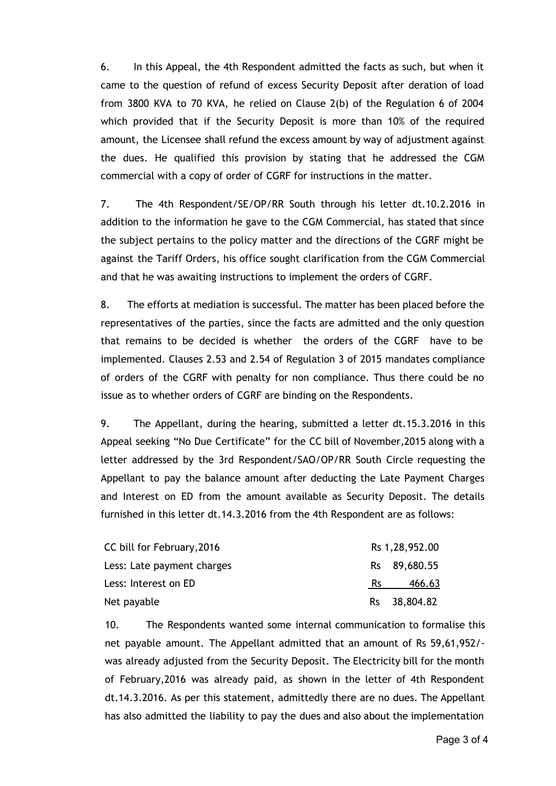6. In this Appeal, the 4th Respondent admitted the facts as such, but when it came to the question of refund of excess Security Deposit after deration of load from 3800 KVA to 70 KVA, he relied on Clause 2(b) of the Regulation 6 of 2004 which provided that if the Security Deposit is more than 10% of the required amount, the Licensee shall refund the excess amount by way of adjustment against the dues. He qualified this provision by stating that he addressed the CGM commercial with a copy of order of CGRF for instructions in the matter.

7. The 4th Respondent/SE/OP/RR South through his letter dt.10.2.2016 in addition to the information he gave to the CGM Commercial, has stated that since the subject pertains to the policy matter and the directions of the CGRF might be against the Tariff Orders, his office sought clarification from the CGM Commercial and that he was awaiting instructions to implement the orders of CGRF.

8. The efforts at mediation is successful. The matter has been placed before the representatives of the parties, since the facts are admitted and the only question that remains to be decided is whether the orders of the CGRF have to be implemented. Clauses 2.53 and 2.54 of Regulation 3 of 2015 mandates compliance of orders of the CGRF with penalty for non compliance. Thus there could be no issue as to whether orders of CGRF are binding on the Respondents.

9. The Appellant, during the hearing, submitted a letter dt.15.3.2016 in this Appeal seeking "No Due Certificate" for the CC bill of November,2015 along with a letter addressed by the 3rd Respondent/SAO/OP/RR South Circle requesting the Appellant to pay the balance amount after deducting the Late Payment Charges and Interest on ED from the amount available as Security Deposit. The details furnished in this letter dt.14.3.2016 from the 4th Respondent are as follows:

| CC bill for February, 2016 |     | Rs 1,28,952.00 |
|----------------------------|-----|----------------|
| Less: Late payment charges |     | Rs 89,680.55   |
| Less: Interest on ED       | Rs. | 466.63         |
| Net payable                |     | Rs 38,804.82   |

10. The Respondents wanted some internal communication to formalise this net payable amount. The Appellant admitted that an amount of Rs 59,61,952/‐ was already adjusted from the Security Deposit. The Electricity bill for the month of February,2016 was already paid, as shown in the letter of 4th Respondent dt.14.3.2016. As per this statement, admittedly there are no dues. The Appellant has also admitted the liability to pay the dues and also about the implementation